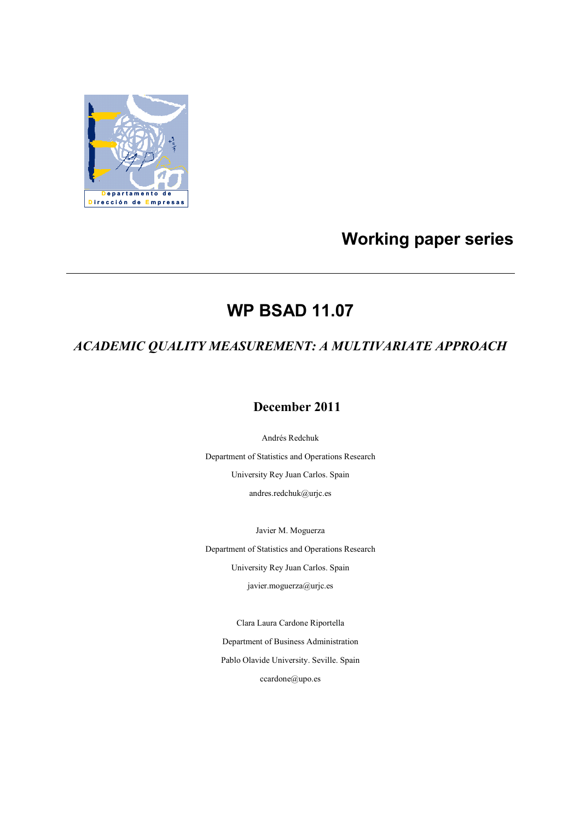

# **Working paper series**

# **WP BSAD 11.07**

# *ACADEMIC QUALITY MEASUREMENT: A MULTIVARIATE APPROACH*

### **December 2011**

Andrés Redchuk

Department of Statistics and Operations Research University Rey Juan Carlos. Spain andres.redchuk@urjc.es

Javier M. Moguerza Department of Statistics and Operations Research University Rey Juan Carlos. Spain javier.moguerza@urjc.es

Clara Laura Cardone Riportella

Department of Business Administration Pablo Olavide University. Seville. Spain ccardone@upo.es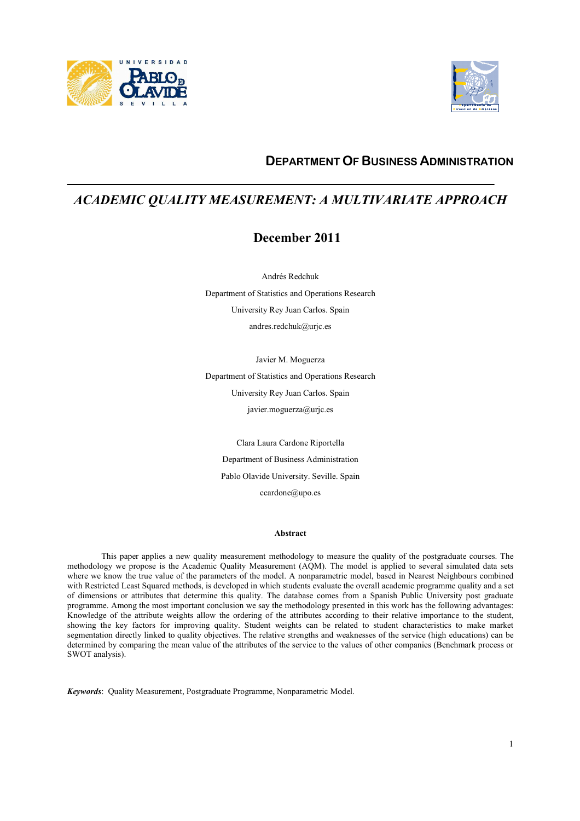



### **DEPARTMENT OF BUSINESS ADMINISTRATION**

### *ACADEMIC QUALITY MEASUREMENT: A MULTIVARIATE APPROACH*

### **December 2011**

Andrés Redchuk Department of Statistics and Operations Research University Rey Juan Carlos. Spain andres.redchuk@urjc.es

Javier M. Moguerza Department of Statistics and Operations Research University Rey Juan Carlos. Spain javier.moguerza@urjc.es

Clara Laura Cardone Riportella Department of Business Administration Pablo Olavide University. Seville. Spain ccardone@upo.es

#### **Abstract**

This paper applies a new quality measurement methodology to measure the quality of the postgraduate courses. The methodology we propose is the Academic Quality Measurement (AQM). The model is applied to several simulated data sets where we know the true value of the parameters of the model. A nonparametric model, based in Nearest Neighbours combined with Restricted Least Squared methods, is developed in which students evaluate the overall academic programme quality and a set of dimensions or attributes that determine this quality. The database comes from a Spanish Public University post graduate programme. Among the most important conclusion we say the methodology presented in this work has the following advantages: Knowledge of the attribute weights allow the ordering of the attributes according to their relative importance to the student, showing the key factors for improving quality. Student weights can be related to student characteristics to make market segmentation directly linked to quality objectives. The relative strengths and weaknesses of the service (high educations) can be determined by comparing the mean value of the attributes of the service to the values of other companies (Benchmark process or SWOT analysis).

*Keywords*: Quality Measurement, Postgraduate Programme, Nonparametric Model.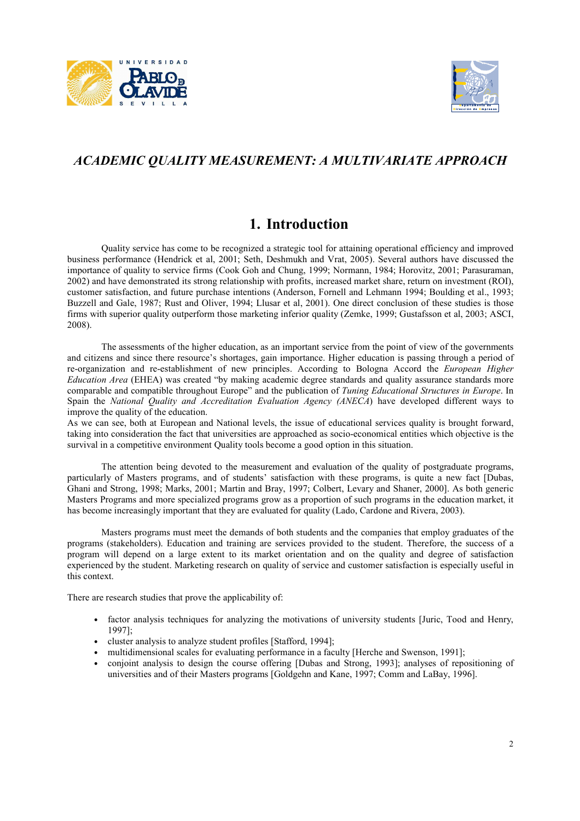



### *ACADEMIC QUALITY MEASUREMENT: A MULTIVARIATE APPROACH*

### **1. Introduction**

Quality service has come to be recognized a strategic tool for attaining operational efficiency and improved business performance (Hendrick et al, 2001; Seth, Deshmukh and Vrat, 2005). Several authors have discussed the importance of quality to service firms (Cook Goh and Chung, 1999; Normann, 1984; Horovitz, 2001; Parasuraman, 2002) and have demonstrated its strong relationship with profits, increased market share, return on investment (ROI), customer satisfaction, and future purchase intentions (Anderson, Fornell and Lehmann 1994; Boulding et al., 1993; Buzzell and Gale, 1987; Rust and Oliver, 1994; Llusar et al, 2001). One direct conclusion of these studies is those firms with superior quality outperform those marketing inferior quality (Zemke, 1999; Gustafsson et al, 2003; ASCI, 2008).

The assessments of the higher education, as an important service from the point of view of the governments and citizens and since there resource's shortages, gain importance. Higher education is passing through a period of re-organization and re-establishment of new principles. According to Bologna Accord the *European Higher Education Area* (EHEA) was created "by making academic degree standards and quality assurance standards more comparable and compatible throughout Europe" and the publication of *Tuning Educational Structures in Europe*. In Spain the *National Quality and Accreditation Evaluation Agency (ANECA*) have developed different ways to improve the quality of the education.

As we can see, both at European and National levels, the issue of educational services quality is brought forward, taking into consideration the fact that universities are approached as socio-economical entities which objective is the survival in a competitive environment Quality tools become a good option in this situation.

The attention being devoted to the measurement and evaluation of the quality of postgraduate programs, particularly of Masters programs, and of students' satisfaction with these programs, is quite a new fact [Dubas, Ghani and Strong, 1998; Marks, 2001; Martin and Bray, 1997; Colbert, Levary and Shaner, 2000]. As both generic Masters Programs and more specialized programs grow as a proportion of such programs in the education market, it has become increasingly important that they are evaluated for quality (Lado, Cardone and Rivera, 2003).

Masters programs must meet the demands of both students and the companies that employ graduates of the programs (stakeholders). Education and training are services provided to the student. Therefore, the success of a program will depend on a large extent to its market orientation and on the quality and degree of satisfaction experienced by the student. Marketing research on quality of service and customer satisfaction is especially useful in this context.

There are research studies that prove the applicability of:

- factor analysis techniques for analyzing the motivations of university students [Juric, Tood and Henry, 1997];
- cluster analysis to analyze student profiles [Stafford, 1994];
- multidimensional scales for evaluating performance in a faculty [Herche and Swenson, 1991];
- conjoint analysis to design the course offering [Dubas and Strong, 1993]; analyses of repositioning of universities and of their Masters programs [Goldgehn and Kane, 1997; Comm and LaBay, 1996].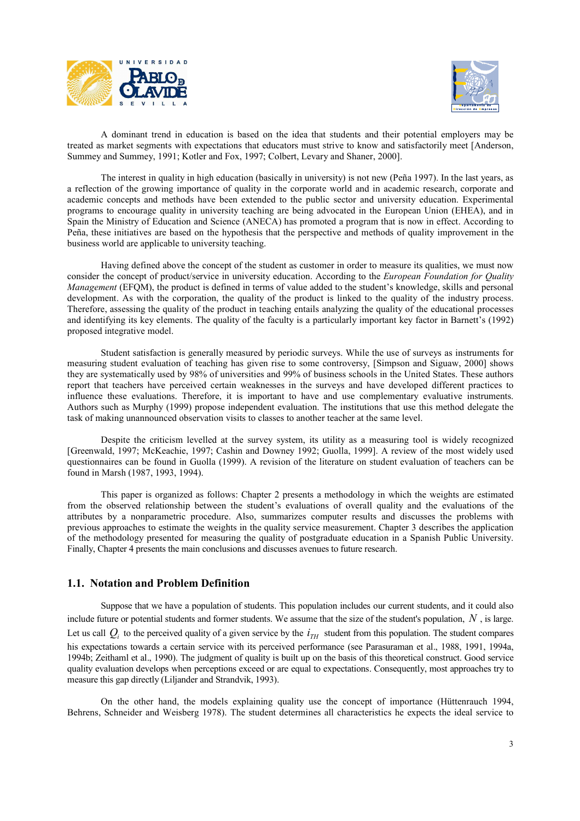



 A dominant trend in education is based on the idea that students and their potential employers may be treated as market segments with expectations that educators must strive to know and satisfactorily meet [Anderson, Summey and Summey, 1991; Kotler and Fox, 1997; Colbert, Levary and Shaner, 2000].

 The interest in quality in high education (basically in university) is not new (Peña 1997). In the last years, as a reflection of the growing importance of quality in the corporate world and in academic research, corporate and academic concepts and methods have been extended to the public sector and university education. Experimental programs to encourage quality in university teaching are being advocated in the European Union (EHEA), and in Spain the Ministry of Education and Science (ANECA) has promoted a program that is now in effect. According to Peña, these initiatives are based on the hypothesis that the perspective and methods of quality improvement in the business world are applicable to university teaching.

 Having defined above the concept of the student as customer in order to measure its qualities, we must now consider the concept of product/service in university education. According to the *European Foundation for Quality Management* (EFQM), the product is defined in terms of value added to the student's knowledge, skills and personal development. As with the corporation, the quality of the product is linked to the quality of the industry process. Therefore, assessing the quality of the product in teaching entails analyzing the quality of the educational processes and identifying its key elements. The quality of the faculty is a particularly important key factor in Barnett's (1992) proposed integrative model.

 Student satisfaction is generally measured by periodic surveys. While the use of surveys as instruments for measuring student evaluation of teaching has given rise to some controversy, [Simpson and Siguaw, 2000] shows they are systematically used by 98% of universities and 99% of business schools in the United States. These authors report that teachers have perceived certain weaknesses in the surveys and have developed different practices to influence these evaluations. Therefore, it is important to have and use complementary evaluative instruments. Authors such as Murphy (1999) propose independent evaluation. The institutions that use this method delegate the task of making unannounced observation visits to classes to another teacher at the same level.

 Despite the criticism levelled at the survey system, its utility as a measuring tool is widely recognized [Greenwald, 1997; McKeachie, 1997; Cashin and Downey 1992; Guolla, 1999]. A review of the most widely used questionnaires can be found in Guolla (1999). A revision of the literature on student evaluation of teachers can be found in Marsh (1987, 1993, 1994).

 This paper is organized as follows: Chapter 2 presents a methodology in which the weights are estimated from the observed relationship between the student's evaluations of overall quality and the evaluations of the attributes by a nonparametric procedure. Also, summarizes computer results and discusses the problems with previous approaches to estimate the weights in the quality service measurement. Chapter 3 describes the application of the methodology presented for measuring the quality of postgraduate education in a Spanish Public University. Finally, Chapter 4 presents the main conclusions and discusses avenues to future research.

### **1.1. Notation and Problem Definition**

 Suppose that we have a population of students. This population includes our current students, and it could also include future or potential students and former students. We assume that the size of the student's population, *N* , is large. Let us call  $Q_i$  to the perceived quality of a given service by the  $i_{TH}$  student from this population. The student compares his expectations towards a certain service with its perceived performance (see Parasuraman et al., 1988, 1991, 1994a, 1994b; Zeithaml et al., 1990). The judgment of quality is built up on the basis of this theoretical construct. Good service quality evaluation develops when perceptions exceed or are equal to expectations. Consequently, most approaches try to measure this gap directly (Liljander and Strandvik, 1993).

 On the other hand, the models explaining quality use the concept of importance (Hüttenrauch 1994, Behrens, Schneider and Weisberg 1978). The student determines all characteristics he expects the ideal service to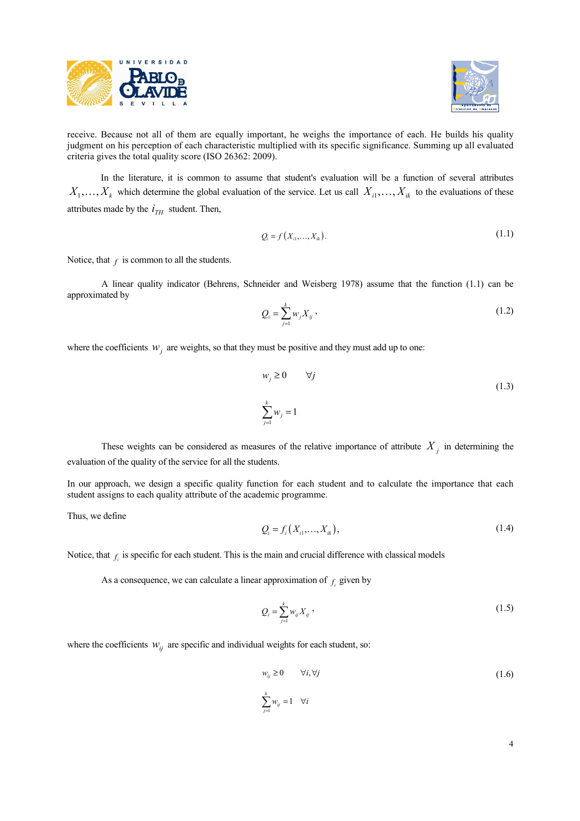



receive. Because not all of them are equally important, he weighs the importance of each. He builds his quality judgment on his perception of each characteristic multiplied with its specific significance. Summing up all evaluated criteria gives the total quality score (ISO 26362: 2009).

 In the literature, it is common to assume that student's evaluation will be a function of several attributes  $X_1, \ldots, X_k$  which determine the global evaluation of the service. Let us call  $X_{i1}, \ldots, X_{ik}$  to the evaluations of these attributes made by the  $i_{TH}$  student. Then,

$$
Q_i = f(X_{i1},...,X_{ik}).
$$
\n(1.1)

Notice, that  $f$  is common to all the students.

 A linear quality indicator (Behrens, Schneider and Weisberg 1978) assume that the function (1.1) can be approximated by

$$
Q_i = \sum_{j=1}^{k} w_j X_{ij},
$$
 (1.2)

where the coefficients  $w_j$  are weights, so that they must be positive and they must add up to one:

$$
w_j \ge 0 \qquad \forall j
$$
  

$$
\sum_{j=1}^k w_j = 1
$$
 (1.3)

These weights can be considered as measures of the relative importance of attribute  $X_j$  in determining the evaluation of the quality of the service for all the students.

In our approach, we design a specific quality function for each student and to calculate the importance that each student assigns to each quality attribute of the academic programme.

Thus, we define

$$
Q_i = f_i(X_{i1},...,X_{ik}),
$$
\n(1.4)

Notice, that  $f_i$  is specific for each student. This is the main and crucial difference with classical models

As a consequence, we can calculate a linear approximation of  $f_i$  given by

$$
Q_i = \sum_{j=1}^{k} w_{ij} X_{ij},
$$
 (1.5)

where the coefficients  $W_{ij}$  are specific and individual weights for each student, so:

$$
w_{ij} \ge 0 \qquad \forall i, \forall j
$$
\n
$$
\sum_{j=1}^{k} w_{ij} = 1 \quad \forall i
$$
\n
$$
(1.6)
$$

4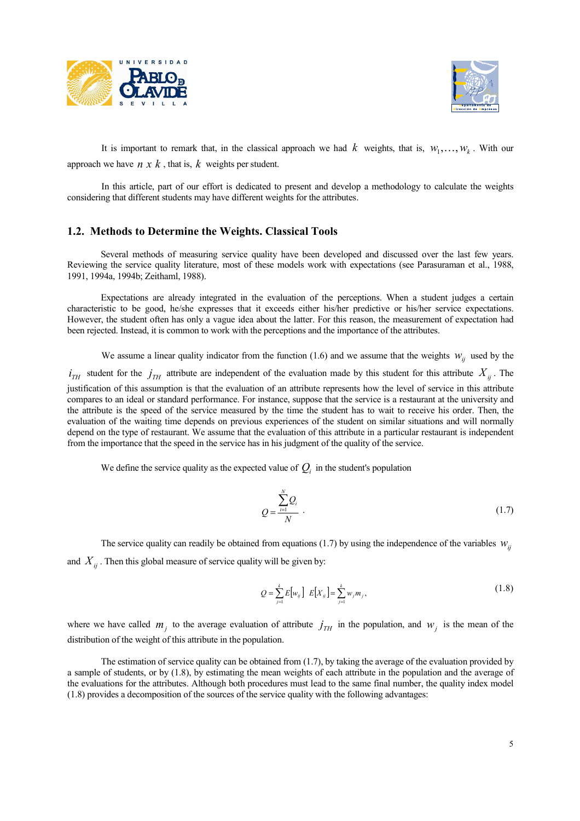



It is important to remark that, in the classical approach we had  $k$  weights, that is,  $w_1, \ldots, w_k$ . With our approach we have  $n \times k$ , that is,  $k$  weights per student.

 In this article, part of our effort is dedicated to present and develop a methodology to calculate the weights considering that different students may have different weights for the attributes.

### **1.2. Methods to Determine the Weights. Classical Tools**

 Several methods of measuring service quality have been developed and discussed over the last few years. Reviewing the service quality literature, most of these models work with expectations (see Parasuraman et al., 1988, 1991, 1994a, 1994b; Zeithaml, 1988).

 Expectations are already integrated in the evaluation of the perceptions. When a student judges a certain characteristic to be good, he/she expresses that it exceeds either his/her predictive or his/her service expectations. However, the student often has only a vague idea about the latter. For this reason, the measurement of expectation had been rejected. Instead, it is common to work with the perceptions and the importance of the attributes.

We assume a linear quality indicator from the function (1.6) and we assume that the weights  $W_{ij}$  used by the  $i_{TH}$  student for the  $j_{TH}$  attribute are independent of the evaluation made by this student for this attribute  $X_{ij}$ . The justification of this assumption is that the evaluation of an attribute represents how the level of service in this attribute compares to an ideal or standard performance. For instance, suppose that the service is a restaurant at the university and the attribute is the speed of the service measured by the time the student has to wait to receive his order. Then, the evaluation of the waiting time depends on previous experiences of the student on similar situations and will normally depend on the type of restaurant. We assume that the evaluation of this attribute in a particular restaurant is independent from the importance that the speed in the service has in his judgment of the quality of the service.

We define the service quality as the expected value of  $Q_i$  in the student's population

$$
Q = \frac{\sum_{i=1}^{N} Q_i}{N} \tag{1.7}
$$

The service quality can readily be obtained from equations (1.7) by using the independence of the variables  $w_{ij}$ and  $X_{ij}$ . Then this global measure of service quality will be given by:

$$
Q = \sum_{j=1}^{k} E[w_{ij}] \ E[X_{ij}] = \sum_{j=1}^{k} w_j m_j,
$$
 (1.8)

where we have called  $m_j$  to the average evaluation of attribute  $j_{TH}$  in the population, and  $w_j$  is the mean of the distribution of the weight of this attribute in the population.

 The estimation of service quality can be obtained from (1.7), by taking the average of the evaluation provided by a sample of students, or by (1.8), by estimating the mean weights of each attribute in the population and the average of the evaluations for the attributes. Although both procedures must lead to the same final number, the quality index model (1.8) provides a decomposition of the sources of the service quality with the following advantages: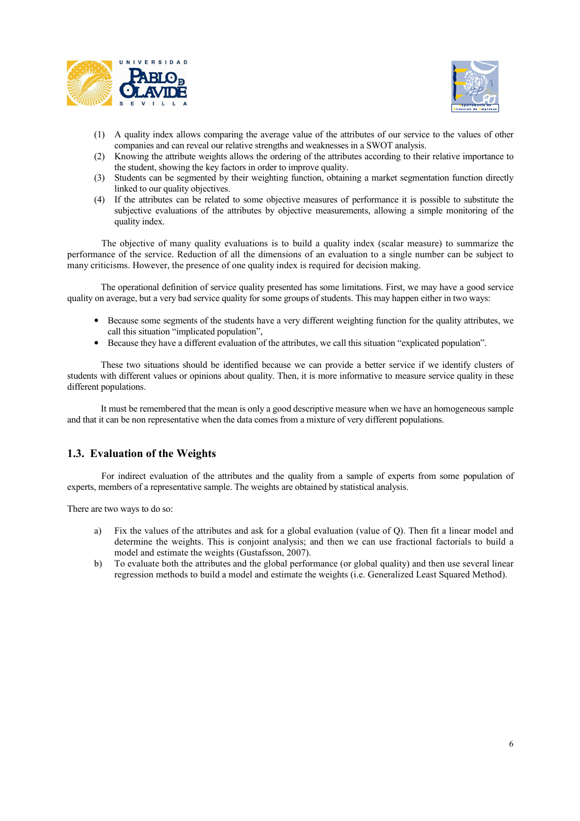



- (1) A quality index allows comparing the average value of the attributes of our service to the values of other companies and can reveal our relative strengths and weaknesses in a SWOT analysis.
- (2) Knowing the attribute weights allows the ordering of the attributes according to their relative importance to the student, showing the key factors in order to improve quality.
- (3) Students can be segmented by their weighting function, obtaining a market segmentation function directly linked to our quality objectives.
- (4) If the attributes can be related to some objective measures of performance it is possible to substitute the subjective evaluations of the attributes by objective measurements, allowing a simple monitoring of the quality index.

The objective of many quality evaluations is to build a quality index (scalar measure) to summarize the performance of the service. Reduction of all the dimensions of an evaluation to a single number can be subject to many criticisms. However, the presence of one quality index is required for decision making.

 The operational definition of service quality presented has some limitations. First, we may have a good service quality on average, but a very bad service quality for some groups of students. This may happen either in two ways:

- Because some segments of the students have a very different weighting function for the quality attributes, we call this situation "implicated population",
- Because they have a different evaluation of the attributes, we call this situation "explicated population".

 These two situations should be identified because we can provide a better service if we identify clusters of students with different values or opinions about quality. Then, it is more informative to measure service quality in these different populations.

 It must be remembered that the mean is only a good descriptive measure when we have an homogeneous sample and that it can be non representative when the data comes from a mixture of very different populations.

### **1.3. Evaluation of the Weights**

For indirect evaluation of the attributes and the quality from a sample of experts from some population of experts, members of a representative sample. The weights are obtained by statistical analysis.

There are two ways to do so:

- a) Fix the values of the attributes and ask for a global evaluation (value of Q). Then fit a linear model and determine the weights. This is conjoint analysis; and then we can use fractional factorials to build a model and estimate the weights (Gustafsson, 2007).
- b) To evaluate both the attributes and the global performance (or global quality) and then use several linear regression methods to build a model and estimate the weights (i.e. Generalized Least Squared Method).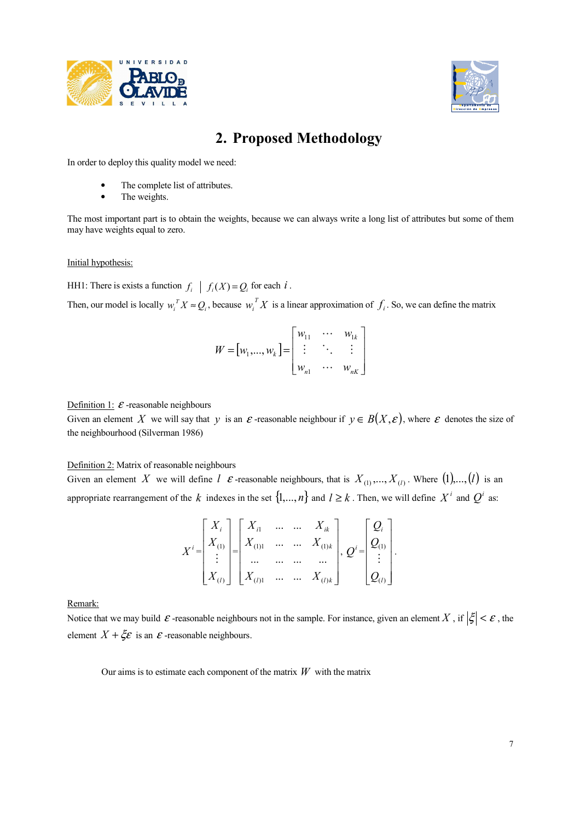



# **2. Proposed Methodology**

In order to deploy this quality model we need:

- The complete list of attributes.
- The weights.

The most important part is to obtain the weights, because we can always write a long list of attributes but some of them may have weights equal to zero.

#### Initial hypothesis:

HH1: There is exists a function  $f_i \mid f_i(X) = Q_i$  for each *i*.

Then, our model is locally  $w_i^T X \approx Q_i$ , because  $w_i^T X$  $\int_i^T X$  is a linear approximation of  $f_i$ . So, we can define the matrix

$$
W = [w_1, \dots, w_k] = \begin{bmatrix} w_{11} & \cdots & w_{1k} \\ \vdots & \ddots & \vdots \\ w_{n1} & \cdots & w_{nk} \end{bmatrix}
$$

Definition 1:  $\varepsilon$  -reasonable neighbours

Given an element X we will say that y is an  $\varepsilon$ -reasonable neighbour if  $y \in B(X, \varepsilon)$ , where  $\varepsilon$  denotes the size of the neighbourhood (Silverman 1986)

Definition 2: Matrix of reasonable neighbours

Given an element X we will define  $l \in \mathcal{E}$ -reasonable neighbours, that is  $X_{(1)},..., X_{(l)}$ . Where  $(1),..., (l)$  is an appropriate rearrangement of the *k* indexes in the set  $\{1, ..., n\}$  and  $l \ge k$ . Then, we will define  $X^i$  and  $Q^i$  as:

$$
X^{i} = \begin{bmatrix} X_{i} \\ X_{(1)} \\ \vdots \\ X_{(l)} \end{bmatrix} = \begin{bmatrix} X_{i1} & \dots & \dots & X_{ik} \\ X_{(1)1} & \dots & \dots & X_{(1)k} \\ \dots & \dots & \dots & \dots \\ X_{(l)1} & \dots & \dots & X_{(l)k} \end{bmatrix}, Q^{i} = \begin{bmatrix} Q_{i} \\ Q_{(1)} \\ \vdots \\ Q_{(l)} \end{bmatrix}
$$

.

Remark:

Notice that we may build  $\varepsilon$ -reasonable neighbours not in the sample. For instance, given an element *X*, if  $|\xi| < \varepsilon$ , the element  $X + \xi \varepsilon$  is an  $\varepsilon$ -reasonable neighbours.

Our aims is to estimate each component of the matrix  $W$  with the matrix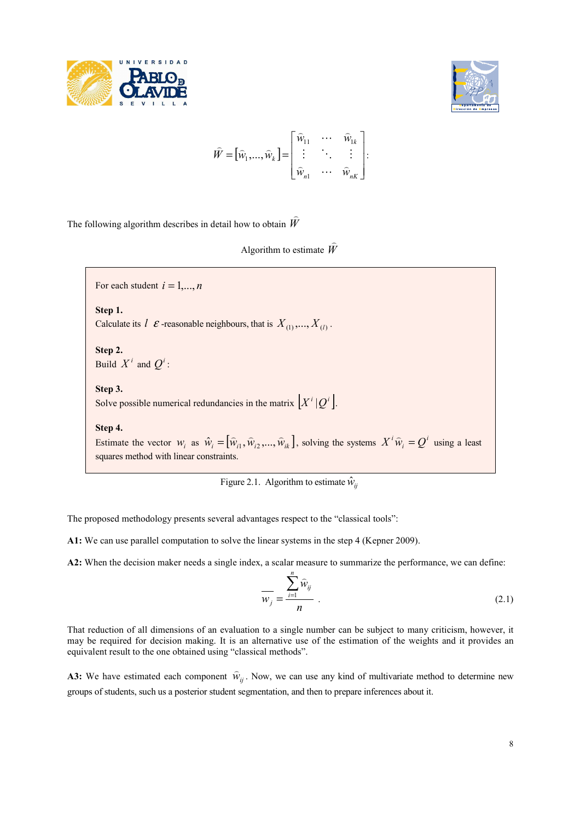



$$
\widehat{W} = [\widehat{w}_1, ..., \widehat{w}_k] = \begin{bmatrix} \widehat{w}_{11} & \cdots & \widehat{w}_{1k} \\ \vdots & \ddots & \vdots \\ \widehat{w}_{n1} & \cdots & \widehat{w}_{nk} \end{bmatrix}.
$$

The following algorithm describes in detail how to obtain *W*  $\overline{a}$ 

> Algorithm to estimate *W*  $\overline{a}$

For each student  $i = 1, \ldots, n$ 

**Step 1.** 

Calculate its  $\hat{l}$   $\epsilon$  -reasonable neighbours, that is  $X_{(1)},..., X_{(l)}$ .

**Step 2.**  Build  $X^i$  and  $Q^i$ :

### **Step 3.**

Solve possible numerical redundancies in the matrix  $|X^i|Q^i|$ .

**Step 4.** 

Estimate the vector  $W_i$  as  $\hat{W}_i = [\hat{W}_{i1}, \hat{W}_{i2}, ..., \hat{W}_{ik}]$  $\sim$   $\sim$   $\sim$  $\hat{w}_i = [\hat{w}_{i1}, \hat{w}_{i2}, ..., \hat{w}_{ik}]$ , solving the systems  $X^i \hat{w}_i = Q^i$  using a least squares method with linear constraints.

Figure 2.1. Algorithm to estimate  $\hat{w}_{ii}$ 

The proposed methodology presents several advantages respect to the "classical tools":

**A1:** We can use parallel computation to solve the linear systems in the step 4 (Kepner 2009).

**A2:** When the decision maker needs a single index, a scalar measure to summarize the performance, we can define:

$$
\overline{w_j} = \frac{\sum_{i=1}^n \widehat{w}_{ij}}{n} \tag{2.1}
$$

That reduction of all dimensions of an evaluation to a single number can be subject to many criticism, however, it may be required for decision making. It is an alternative use of the estimation of the weights and it provides an equivalent result to the one obtained using "classical methods".

**A3:** We have estimated each component  $\hat{w}_{ij}$  $\overline{a}$ . Now, we can use any kind of multivariate method to determine new groups of students, such us a posterior student segmentation, and then to prepare inferences about it.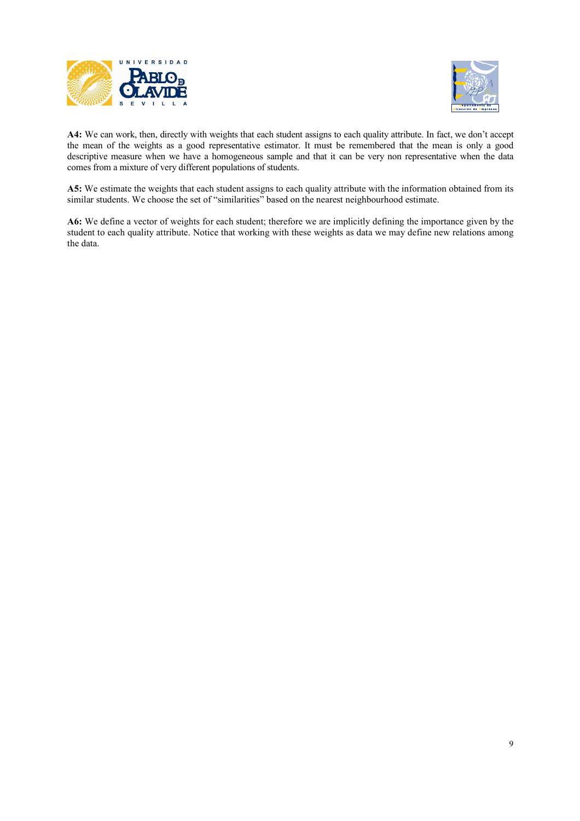



**A4:** We can work, then, directly with weights that each student assigns to each quality attribute. In fact, we don't accept the mean of the weights as a good representative estimator. It must be remembered that the mean is only a good descriptive measure when we have a homogeneous sample and that it can be very non representative when the data comes from a mixture of very different populations of students.

**A5:** We estimate the weights that each student assigns to each quality attribute with the information obtained from its similar students. We choose the set of "similarities" based on the nearest neighbourhood estimate.

**A6:** We define a vector of weights for each student; therefore we are implicitly defining the importance given by the student to each quality attribute. Notice that working with these weights as data we may define new relations among the data.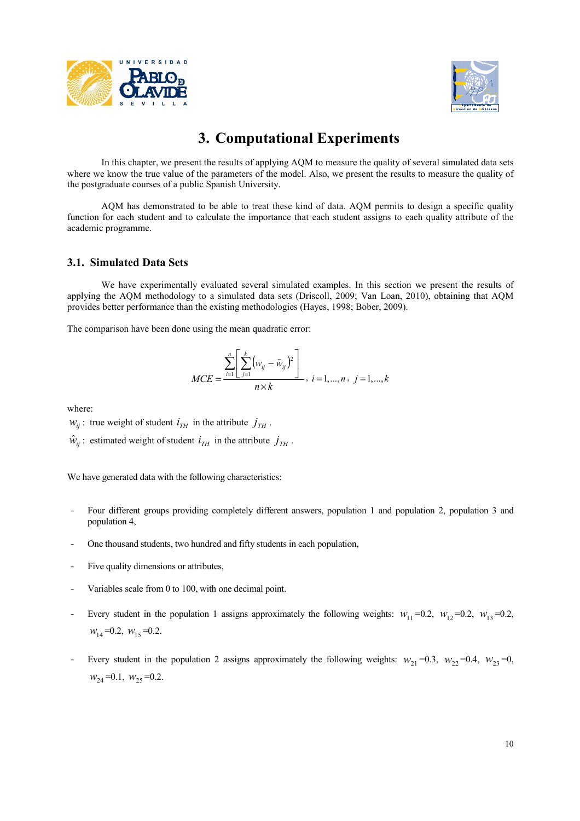



# **3. Computational Experiments**

In this chapter, we present the results of applying AQM to measure the quality of several simulated data sets where we know the true value of the parameters of the model. Also, we present the results to measure the quality of the postgraduate courses of a public Spanish University.

AQM has demonstrated to be able to treat these kind of data. AQM permits to design a specific quality function for each student and to calculate the importance that each student assigns to each quality attribute of the academic programme.

### **3.1. Simulated Data Sets**

We have experimentally evaluated several simulated examples. In this section we present the results of applying the AQM methodology to a simulated data sets (Driscoll, 2009; Van Loan, 2010), obtaining that AQM provides better performance than the existing methodologies (Hayes, 1998; Bober, 2009).

The comparison have been done using the mean quadratic error:

$$
MCE = \frac{\sum_{i=1}^{n} \left[ \sum_{j=1}^{k} (w_{ij} - \widehat{w}_{ij})^{2} \right]}{n \times k}, i = 1,...,n, j = 1,...,k
$$

where:

 $W_{ii}$ : true weight of student  $I_{TH}$  in the attribute  $J_{TH}$ .

 $\hat{w}_{ij}$ : estimated weight of student  $i_{TH}$  in the attribute  $j_{TH}$ .

We have generated data with the following characteristics:

- Four different groups providing completely different answers, population 1 and population 2, population 3 and population 4,
- One thousand students, two hundred and fifty students in each population,
- Five quality dimensions or attributes,
- Variables scale from 0 to 100, with one decimal point.
- Every student in the population 1 assigns approximately the following weights:  $w_{11} = 0.2$ ,  $w_{12} = 0.2$ ,  $w_{13} = 0.2$ ,  $w_{14} = 0.2, w_{15} = 0.2.$
- Every student in the population 2 assigns approximately the following weights:  $w_{21} = 0.3$ ,  $w_{22} = 0.4$ ,  $w_{23} = 0$ ,  $W_{24} = 0.1$ ,  $W_{25} = 0.2$ .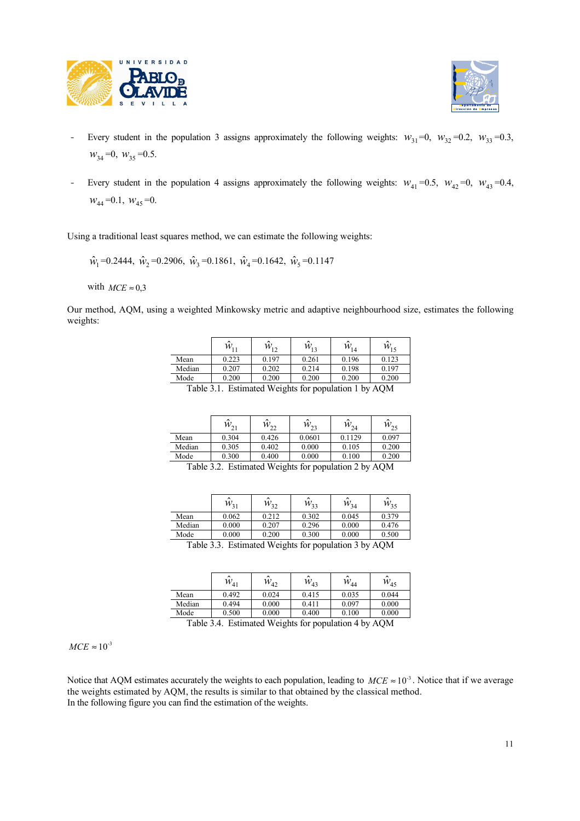



- Every student in the population 3 assigns approximately the following weights:  $w_{31} = 0$ ,  $w_{32} = 0.2$ ,  $w_{33} = 0.3$ ,  $w_{34} = 0$ ,  $w_{35} = 0.5$ .
- Every student in the population 4 assigns approximately the following weights:  $w_{41} = 0.5$ ,  $w_{42} = 0$ ,  $w_{43} = 0.4$ ,  $W_{44} = 0.1, W_{45} = 0.$

Using a traditional least squares method, we can estimate the following weights:

 $\hat{w}_1 = 0.2444$ ,  $\hat{w}_2 = 0.2906$ ,  $\hat{w}_3 = 0.1861$ ,  $\hat{w}_4 = 0.1642$ ,  $\hat{w}_5 = 0.1147$ 

with  $MCE \approx 0.3$ 

Our method, AQM, using a weighted Minkowsky metric and adaptive neighbourhood size, estimates the following weights:

|        | $\lambda$<br>$W_{11}$ | $\lambda$<br>$W_{12}$ | $W_{13}$ | $W_{14}$ | $W_{15}$ |
|--------|-----------------------|-----------------------|----------|----------|----------|
| Mean   | 0.223                 | 0.197                 | 0.261    | 0.196    | 0.123    |
| Median | 0.207                 | 0.202                 | 0.214    | 0.198    | 0.197    |
| Mode   | 0.200                 | 0.200                 | 0.200    | 0.200    | 0.200    |

Table 3.1. Estimated Weights for population 1 by AQM

|        | $\lambda$<br>$W_{21}$                                                                                                                                                                                                                                                                                                                                                             | $W_{22}$ | ^<br>$W_{23}$ | $\lambda$<br>$W_{24}$ | $W_{25}$ |  |  |
|--------|-----------------------------------------------------------------------------------------------------------------------------------------------------------------------------------------------------------------------------------------------------------------------------------------------------------------------------------------------------------------------------------|----------|---------------|-----------------------|----------|--|--|
| Mean   | 0.304                                                                                                                                                                                                                                                                                                                                                                             | 0.426    | 0.0601        | 0.1129                | 0.097    |  |  |
| Median | 0.305                                                                                                                                                                                                                                                                                                                                                                             | 0.402    | 0.000         | 0.105                 | 0.200    |  |  |
| Mode   | 0.300                                                                                                                                                                                                                                                                                                                                                                             | 0.400    | 0.000         | 0.100                 | 0.200    |  |  |
|        | T1120<br>$\mathbf{r}$ $\mathbf{r}$ $\mathbf{r}$ $\mathbf{r}$ $\mathbf{r}$ $\mathbf{r}$ $\mathbf{r}$ $\mathbf{r}$ $\mathbf{r}$ $\mathbf{r}$ $\mathbf{r}$ $\mathbf{r}$ $\mathbf{r}$ $\mathbf{r}$ $\mathbf{r}$ $\mathbf{r}$ $\mathbf{r}$ $\mathbf{r}$ $\mathbf{r}$ $\mathbf{r}$ $\mathbf{r}$ $\mathbf{r}$ $\mathbf{r}$ $\mathbf{r}$ $\mathbf{$<br>$\sqrt{2}$<br>$\sim$ 1<br>$\cdots$ |          |               |                       |          |  |  |

Table 3.2. Estimated Weights for population 2 by AQM

|        | $\ddot{\phantom{0}}$<br>$W_{31}$ | ^<br>$W_{32}$ | $\lambda$<br>$W_{33}$ | $\sim$<br>$W_{34}$ | $W_{35}$ |
|--------|----------------------------------|---------------|-----------------------|--------------------|----------|
| Mean   | 0.062                            | 0.212         | 0.302                 | 0.045              | 0.379    |
| Median | 0.000                            | 0.207         | 0.296                 | 0.000              | 0.476    |
| Mode   | 0.000                            | 0.200         | 0.300                 | 0.000              | 0.500    |

Table 3.3. Estimated Weights for population 3 by AQM

|        | $\lambda$<br>$W_{41}$ | $\lambda$<br>$W_{42}$ | $\lambda$<br>$W_{43}$ | $\ddot{\phantom{0}}$<br>$W_{44}$ | ^<br>$W_{45}$ |
|--------|-----------------------|-----------------------|-----------------------|----------------------------------|---------------|
| Mean   | 0.492                 | 0.024                 | 0.415                 | 0.035                            | 0.044         |
| Median | 0.494                 | 0.000                 | 0.411                 | 0.097                            | 0.000         |
| Mode   | 0.500                 | 0.000                 | 0.400                 | 0.100                            | 0.000         |
| __     | $ -$<br>$-$           | .                     | $\sim$                | $\sim$ $\sim$<br>. .             | .             |

Table 3.4. Estimated Weights for population 4 by AQM

 $MCE \approx 10^{-3}$ 

Notice that AQM estimates accurately the weights to each population, leading to  $MCE \approx 10^{-3}$ . Notice that if we average the weights estimated by AQM, the results is similar to that obtained by the classical method. In the following figure you can find the estimation of the weights.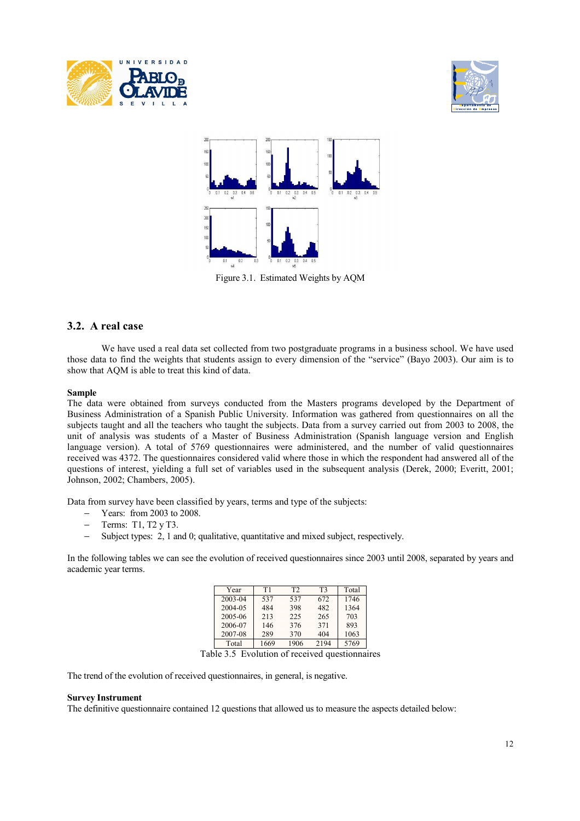





Figure 3.1. Estimated Weights by AQM

### **3.2. A real case**

We have used a real data set collected from two postgraduate programs in a business school. We have used those data to find the weights that students assign to every dimension of the "service" (Bayo 2003). Our aim is to show that AQM is able to treat this kind of data.

#### **Sample**

The data were obtained from surveys conducted from the Masters programs developed by the Department of Business Administration of a Spanish Public University. Information was gathered from questionnaires on all the subjects taught and all the teachers who taught the subjects. Data from a survey carried out from 2003 to 2008, the unit of analysis was students of a Master of Business Administration (Spanish language version and English language version). A total of 5769 questionnaires were administered, and the number of valid questionnaires received was 4372. The questionnaires considered valid where those in which the respondent had answered all of the questions of interest, yielding a full set of variables used in the subsequent analysis (Derek, 2000; Everitt, 2001; Johnson, 2002; Chambers, 2005).

Data from survey have been classified by years, terms and type of the subjects:

- Years: from 2003 to 2008.
- − Terms: T1, T2 y T3.
- − Subject types: 2, 1 and 0; qualitative, quantitative and mixed subject, respectively.

In the following tables we can see the evolution of received questionnaires since 2003 until 2008, separated by years and academic year terms.

| Year    | T1   | T <sub>2</sub> | T3   | Total |
|---------|------|----------------|------|-------|
| 2003-04 | 537  | 537            | 672  | 1746  |
| 2004-05 | 484  | 398            | 482  | 1364  |
| 2005-06 | 213  | 225            | 265  | 703   |
| 2006-07 | 146  | 376            | 371  | 893   |
| 2007-08 | 289  | 370            | 404  | 1063  |
| Total   | 1669 | 1906           | 2194 | 5769  |

Table 3.5 Evolution of received questionnaires

The trend of the evolution of received questionnaires, in general, is negative.

#### **Survey Instrument**

The definitive questionnaire contained 12 questions that allowed us to measure the aspects detailed below: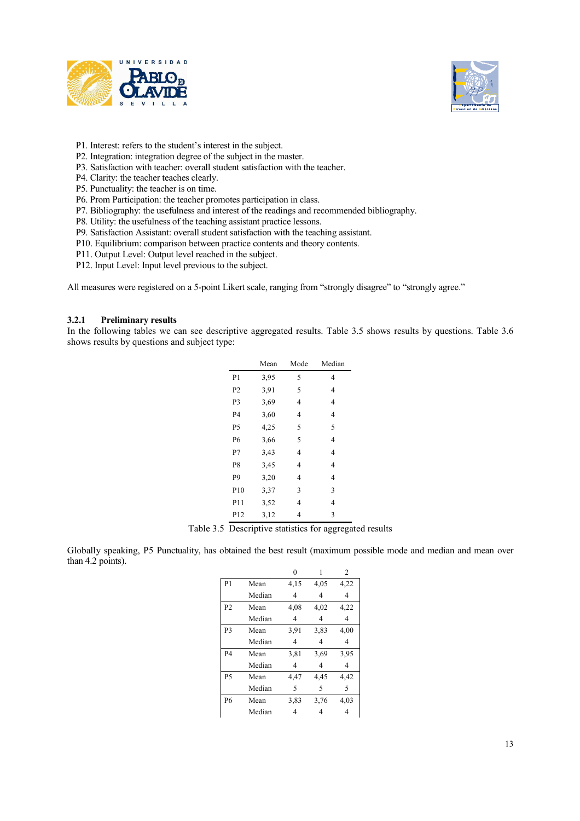



- P1. Interest: refers to the student's interest in the subject.
- P2. Integration: integration degree of the subject in the master.
- P3. Satisfaction with teacher: overall student satisfaction with the teacher.
- P4. Clarity: the teacher teaches clearly.
- P5. Punctuality: the teacher is on time.
- P6. Prom Participation: the teacher promotes participation in class.
- P7. Bibliography: the usefulness and interest of the readings and recommended bibliography.
- P8. Utility: the usefulness of the teaching assistant practice lessons.
- P9. Satisfaction Assistant: overall student satisfaction with the teaching assistant.
- P10. Equilibrium: comparison between practice contents and theory contents.
- P11. Output Level: Output level reached in the subject.
- P12. Input Level: Input level previous to the subject.

All measures were registered on a 5-point Likert scale, ranging from "strongly disagree" to "strongly agree."

#### **3.2.1 Preliminary results**

In the following tables we can see descriptive aggregated results. Table 3.5 shows results by questions. Table 3.6 shows results by questions and subject type:

| 4              |
|----------------|
|                |
| 4              |
| 4              |
| 4              |
| 5              |
| 4              |
| 4              |
| $\overline{4}$ |
| 4              |
| 3              |
| 4              |
| 3              |
|                |

Table 3.5 Descriptive statistics for aggregated results

Globally speaking, P5 Punctuality, has obtained the best result (maximum possible mode and median and mean over than 4.2 points).

|                |        | 0    | 1    | $\overline{c}$ |
|----------------|--------|------|------|----------------|
| P <sub>1</sub> | Mean   | 4,15 | 4,05 | 4,22           |
|                | Median | 4    | 4    | 4              |
| P <sub>2</sub> | Mean   | 4,08 | 4,02 | 4,22           |
|                | Median | 4    | 4    | 4              |
| P <sub>3</sub> | Mean   | 3.91 | 3,83 | 4,00           |
|                | Median | 4    | 4    | 4              |
| <b>P4</b>      | Mean   | 3,81 | 3.69 | 3,95           |
|                | Median | 4    | 4    | 4              |
| <b>P5</b>      | Mean   | 4,47 | 4,45 | 4,42           |
|                | Median | 5    | 5    | 5              |
| <b>P6</b>      | Mean   | 3,83 | 3.76 | 4,03           |
|                | Median | 4    | 4    | 4              |
|                |        |      |      |                |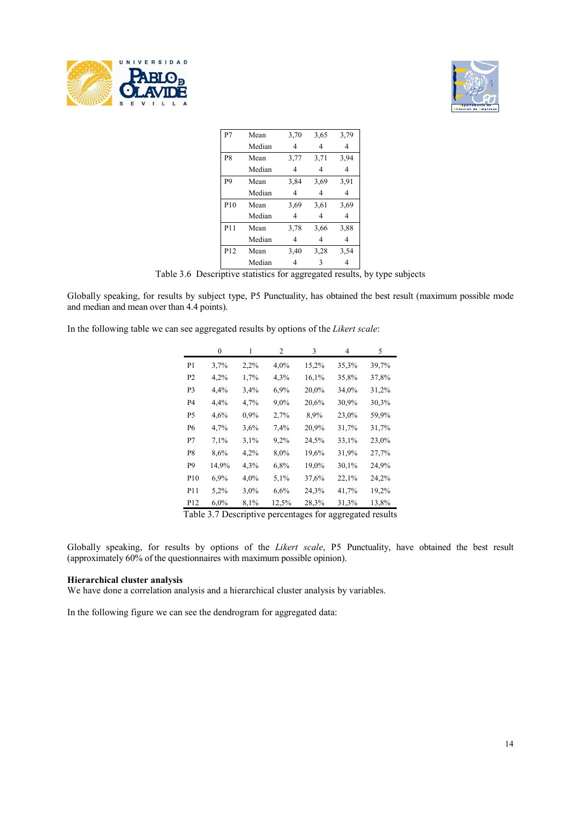



| P7              | Mean   | 3,70           | 3,65 | 3,79 |
|-----------------|--------|----------------|------|------|
|                 | Median | 4              | 4    | 4    |
| P8              | Mean   | 3,77           | 3,71 | 3.94 |
|                 | Median | 4              | 4    | 4    |
| P9              | Mean   | 3,84           | 3.69 | 3,91 |
|                 | Median | 4              | 4    | 4    |
| P10             | Mean   | 3.69           | 3.61 | 3.69 |
|                 | Median | $\overline{4}$ | 4    | 4    |
| P11             | Mean   | 3,78           | 3.66 | 3,88 |
|                 | Median | 4              | 4    | 4    |
| P <sub>12</sub> | Mean   | 3,40           | 3.28 | 3,54 |
|                 | Median | 4              | 3    | 4    |

Table 3.6 Descriptive statistics for aggregated results, by type subjects

Globally speaking, for results by subject type, P5 Punctuality, has obtained the best result (maximum possible mode and median and mean over than 4.4 points).

In the following table we can see aggregated results by options of the *Likert scale*:

|                 | 0     | 1    | 2       | 3     | 4     | 5     |
|-----------------|-------|------|---------|-------|-------|-------|
| P1              | 3,7%  | 2,2% | $4,0\%$ | 15,2% | 35,3% | 39,7% |
| P <sub>2</sub>  | 4,2%  | 1,7% | 4,3%    | 16,1% | 35,8% | 37,8% |
| P3              | 4,4%  | 3,4% | 6,9%    | 20,0% | 34,0% | 31,2% |
| P4              | 4,4%  | 4,7% | 9,0%    | 20,6% | 30,9% | 30,3% |
| P5              | 4,6%  | 0,9% | 2,7%    | 8,9%  | 23,0% | 59,9% |
| Р6              | 4,7%  | 3,6% | 7,4%    | 20,9% | 31,7% | 31,7% |
| P7              | 7,1%  | 3,1% | 9,2%    | 24,5% | 33,1% | 23,0% |
| P8              | 8,6%  | 4,2% | 8,0%    | 19,6% | 31,9% | 27,7% |
| P9              | 14,9% | 4,3% | 6,8%    | 19,0% | 30,1% | 24,9% |
| P <sub>10</sub> | 6,9%  | 4,0% | 5,1%    | 37,6% | 22,1% | 24,2% |
| P11             | 5,2%  | 3,0% | 6,6%    | 24,3% | 41,7% | 19,2% |
| P12             | 6,0%  | 8,1% | 12,5%   | 28,3% | 31,3% | 13,8% |

Table 3.7 Descriptive percentages for aggregated results

Globally speaking, for results by options of the *Likert scale*, P5 Punctuality, have obtained the best result (approximately 60% of the questionnaires with maximum possible opinion).

#### **Hierarchical cluster analysis**

We have done a correlation analysis and a hierarchical cluster analysis by variables.

In the following figure we can see the dendrogram for aggregated data: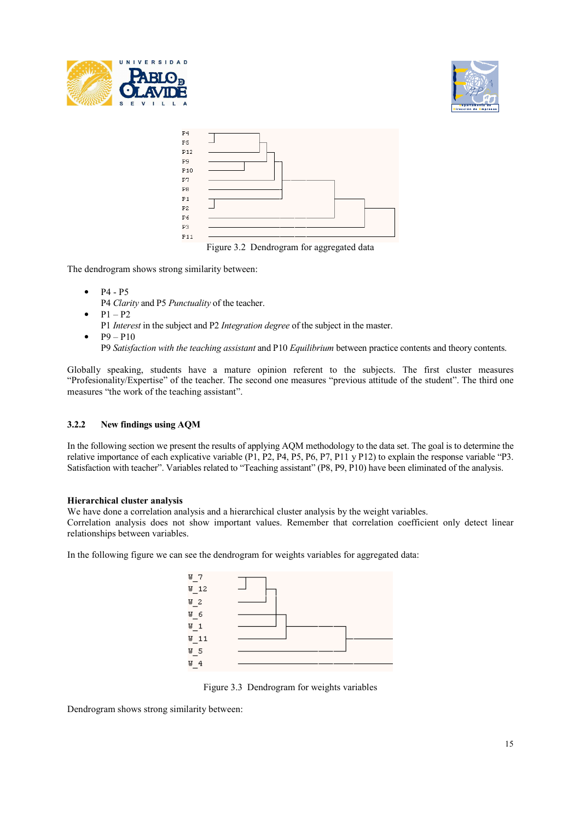





Figure 3.2 Dendrogram for aggregated data

The dendrogram shows strong similarity between:

- $P4 P5$ 
	- P4 *Clarity* and P5 *Punctuality* of the teacher.
- $P1 P2$
- P1 *Interest* in the subject and P2 *Integration degree* of the subject in the master.
- $P9 P10$ P9 *Satisfaction with the teaching assistant* and P10 *Equilibrium* between practice contents and theory contents.

Globally speaking, students have a mature opinion referent to the subjects. The first cluster measures "Profesionality/Expertise" of the teacher. The second one measures "previous attitude of the student". The third one measures "the work of the teaching assistant".

#### **3.2.2 New findings using AQM**

In the following section we present the results of applying AQM methodology to the data set. The goal is to determine the relative importance of each explicative variable (P1, P2, P4, P5, P6, P7, P11 y P12) to explain the response variable "P3. Satisfaction with teacher". Variables related to "Teaching assistant" (P8, P9, P10) have been eliminated of the analysis.

#### **Hierarchical cluster analysis**

We have done a correlation analysis and a hierarchical cluster analysis by the weight variables. Correlation analysis does not show important values. Remember that correlation coefficient only detect linear relationships between variables.

In the following figure we can see the dendrogram for weights variables for aggregated data:



Figure 3.3 Dendrogram for weights variables

Dendrogram shows strong similarity between: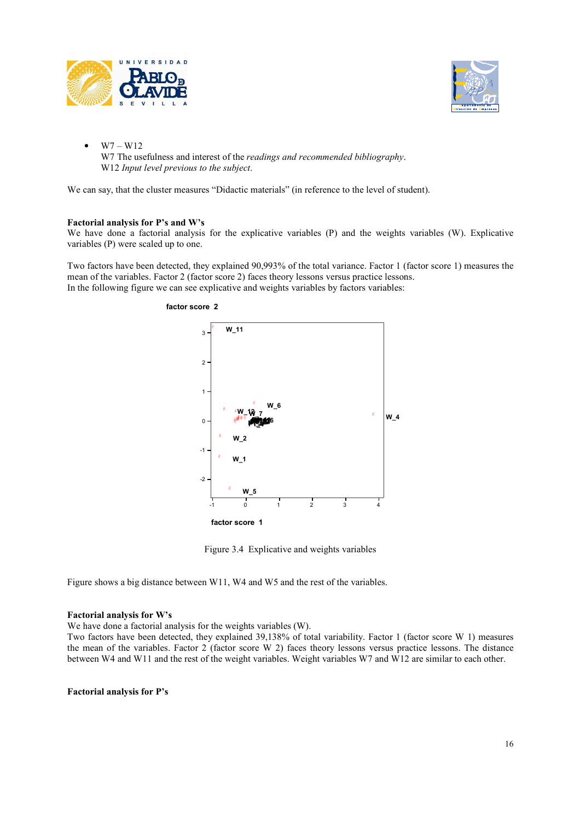



 $W7 - W12$ W7 The usefulness and interest of the *readings and recommended bibliography*. W12 *Input level previous to the subject*.

We can say, that the cluster measures "Didactic materials" (in reference to the level of student).

#### **Factorial analysis for P's and W's**

We have done a factorial analysis for the explicative variables (P) and the weights variables (W). Explicative variables (P) were scaled up to one.

Two factors have been detected, they explained 90,993% of the total variance. Factor 1 (factor score 1) measures the mean of the variables. Factor 2 (factor score 2) faces theory lessons versus practice lessons. In the following figure we can see explicative and weights variables by factors variables:



Figure 3.4 Explicative and weights variables

Figure shows a big distance between W11, W4 and W5 and the rest of the variables.

#### **Factorial analysis for W's**

We have done a factorial analysis for the weights variables (W).

Two factors have been detected, they explained 39,138% of total variability. Factor 1 (factor score W 1) measures the mean of the variables. Factor 2 (factor score W 2) faces theory lessons versus practice lessons. The distance between W4 and W11 and the rest of the weight variables. Weight variables W7 and W12 are similar to each other.

#### **Factorial analysis for P's**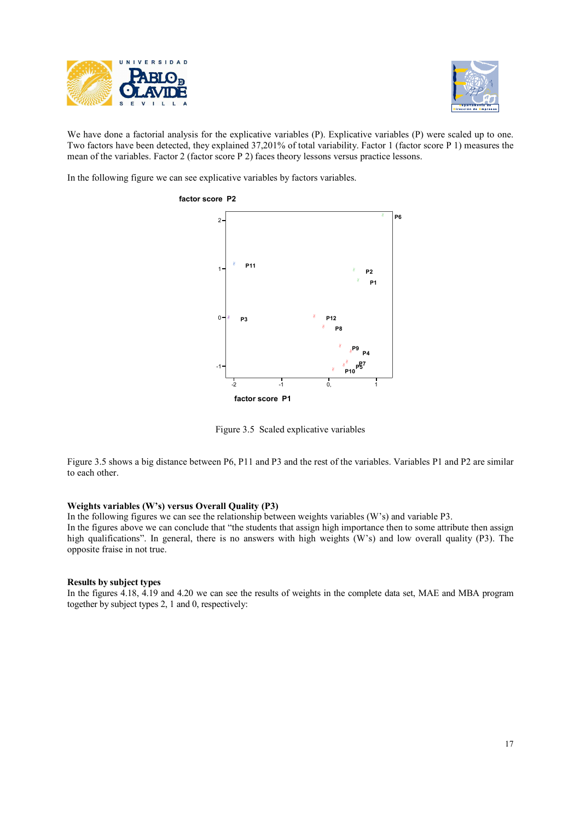



We have done a factorial analysis for the explicative variables (P). Explicative variables (P) were scaled up to one. Two factors have been detected, they explained 37,201% of total variability. Factor 1 (factor score P 1) measures the mean of the variables. Factor 2 (factor score P 2) faces theory lessons versus practice lessons.

In the following figure we can see explicative variables by factors variables.



Figure 3.5 Scaled explicative variables

Figure 3.5 shows a big distance between P6, P11 and P3 and the rest of the variables. Variables P1 and P2 are similar to each other.

#### **Weights variables (W's) versus Overall Quality (P3)**

In the following figures we can see the relationship between weights variables (W's) and variable P3.

In the figures above we can conclude that "the students that assign high importance then to some attribute then assign high qualifications". In general, there is no answers with high weights (W's) and low overall quality (P3). The opposite fraise in not true.

#### **Results by subject types**

In the figures 4.18, 4.19 and 4.20 we can see the results of weights in the complete data set, MAE and MBA program together by subject types 2, 1 and 0, respectively: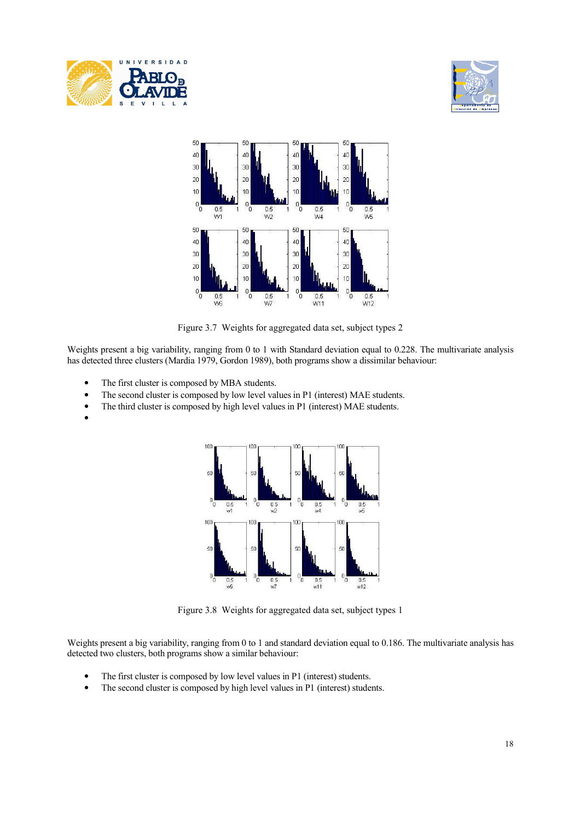





Figure 3.7 Weights for aggregated data set, subject types 2

Weights present a big variability, ranging from 0 to 1 with Standard deviation equal to 0.228. The multivariate analysis has detected three clusters (Mardia 1979, Gordon 1989), both programs show a dissimilar behaviour:

- The first cluster is composed by MBA students.
- The second cluster is composed by low level values in P1 (interest) MAE students.
- The third cluster is composed by high level values in P1 (interest) MAE students.
- •



Figure 3.8 Weights for aggregated data set, subject types 1

Weights present a big variability, ranging from 0 to 1 and standard deviation equal to 0.186. The multivariate analysis has detected two clusters, both programs show a similar behaviour:

- The first cluster is composed by low level values in P1 (interest) students.
- The second cluster is composed by high level values in P1 (interest) students.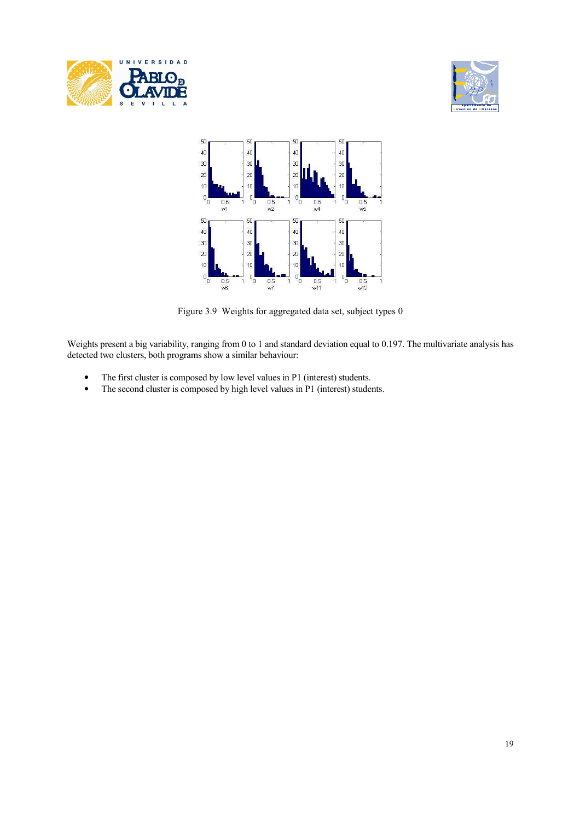





Figure 3.9 Weights for aggregated data set, subject types 0

Weights present a big variability, ranging from 0 to 1 and standard deviation equal to 0.197. The multivariate analysis has detected two clusters, both programs show a similar behaviour:

- The first cluster is composed by low level values in P1 (interest) students.
- The second cluster is composed by high level values in P1 (interest) students.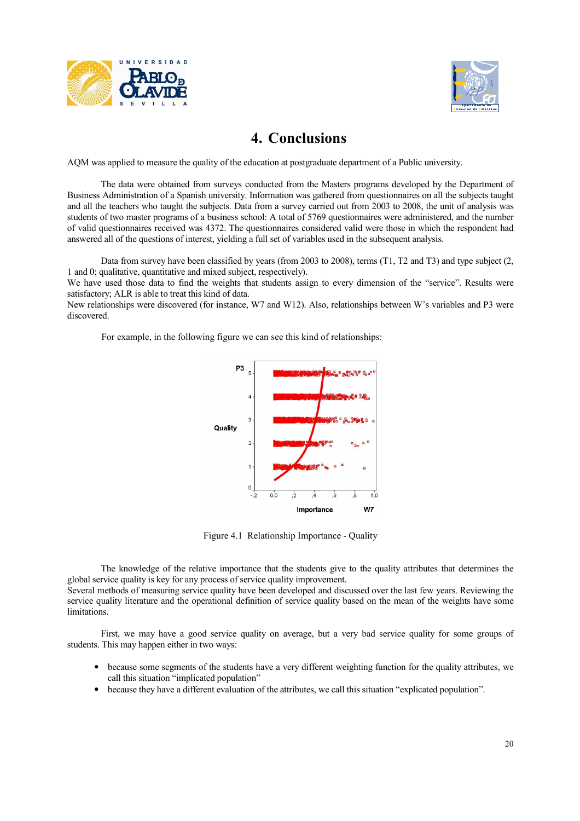



# **4. Conclusions**

AQM was applied to measure the quality of the education at postgraduate department of a Public university.

 The data were obtained from surveys conducted from the Masters programs developed by the Department of Business Administration of a Spanish university. Information was gathered from questionnaires on all the subjects taught and all the teachers who taught the subjects. Data from a survey carried out from 2003 to 2008, the unit of analysis was students of two master programs of a business school: A total of 5769 questionnaires were administered, and the number of valid questionnaires received was 4372. The questionnaires considered valid were those in which the respondent had answered all of the questions of interest, yielding a full set of variables used in the subsequent analysis.

 Data from survey have been classified by years (from 2003 to 2008), terms (T1, T2 and T3) and type subject (2, 1 and 0; qualitative, quantitative and mixed subject, respectively).

We have used those data to find the weights that students assign to every dimension of the "service". Results were satisfactory; ALR is able to treat this kind of data.

New relationships were discovered (for instance, W7 and W12). Also, relationships between W's variables and P3 were discovered.

For example, in the following figure we can see this kind of relationships:



Figure 4.1 Relationship Importance - Quality

 The knowledge of the relative importance that the students give to the quality attributes that determines the global service quality is key for any process of service quality improvement.

Several methods of measuring service quality have been developed and discussed over the last few years. Reviewing the service quality literature and the operational definition of service quality based on the mean of the weights have some limitations.

 First, we may have a good service quality on average, but a very bad service quality for some groups of students. This may happen either in two ways:

- because some segments of the students have a very different weighting function for the quality attributes, we call this situation "implicated population"
- because they have a different evaluation of the attributes, we call this situation "explicated population".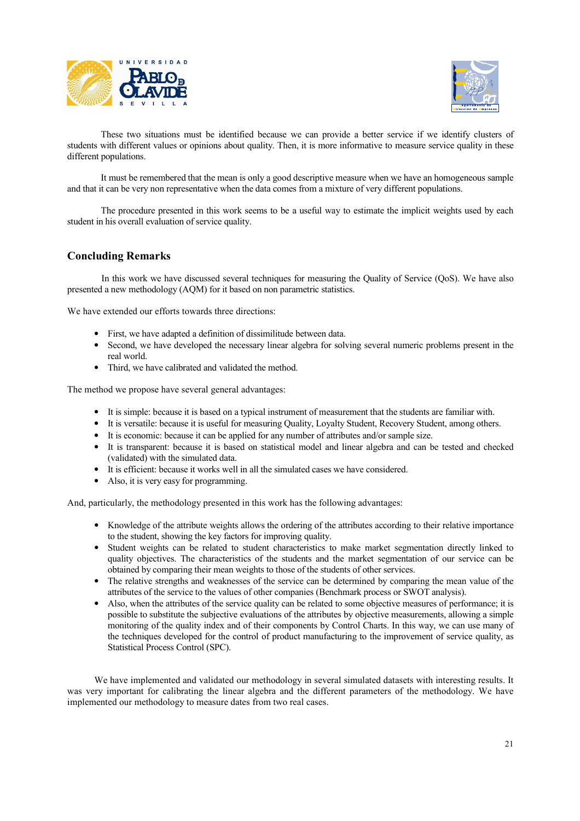



 These two situations must be identified because we can provide a better service if we identify clusters of students with different values or opinions about quality. Then, it is more informative to measure service quality in these different populations.

 It must be remembered that the mean is only a good descriptive measure when we have an homogeneous sample and that it can be very non representative when the data comes from a mixture of very different populations.

 The procedure presented in this work seems to be a useful way to estimate the implicit weights used by each student in his overall evaluation of service quality.

### **Concluding Remarks**

In this work we have discussed several techniques for measuring the Quality of Service (QoS). We have also presented a new methodology (AQM) for it based on non parametric statistics.

We have extended our efforts towards three directions:

- First, we have adapted a definition of dissimilitude between data.
- Second, we have developed the necessary linear algebra for solving several numeric problems present in the real world.
- Third, we have calibrated and validated the method.

The method we propose have several general advantages:

- It is simple: because it is based on a typical instrument of measurement that the students are familiar with.
- It is versatile: because it is useful for measuring Quality, Loyalty Student, Recovery Student, among others.
- It is economic: because it can be applied for any number of attributes and/or sample size.
- It is transparent: because it is based on statistical model and linear algebra and can be tested and checked (validated) with the simulated data.
- It is efficient: because it works well in all the simulated cases we have considered.
- Also, it is very easy for programming.

And, particularly, the methodology presented in this work has the following advantages:

- Knowledge of the attribute weights allows the ordering of the attributes according to their relative importance to the student, showing the key factors for improving quality.
- Student weights can be related to student characteristics to make market segmentation directly linked to quality objectives. The characteristics of the students and the market segmentation of our service can be obtained by comparing their mean weights to those of the students of other services.
- The relative strengths and weaknesses of the service can be determined by comparing the mean value of the attributes of the service to the values of other companies (Benchmark process or SWOT analysis).
- Also, when the attributes of the service quality can be related to some objective measures of performance; it is possible to substitute the subjective evaluations of the attributes by objective measurements, allowing a simple monitoring of the quality index and of their components by Control Charts. In this way, we can use many of the techniques developed for the control of product manufacturing to the improvement of service quality, as Statistical Process Control (SPC).

We have implemented and validated our methodology in several simulated datasets with interesting results. It was very important for calibrating the linear algebra and the different parameters of the methodology. We have implemented our methodology to measure dates from two real cases.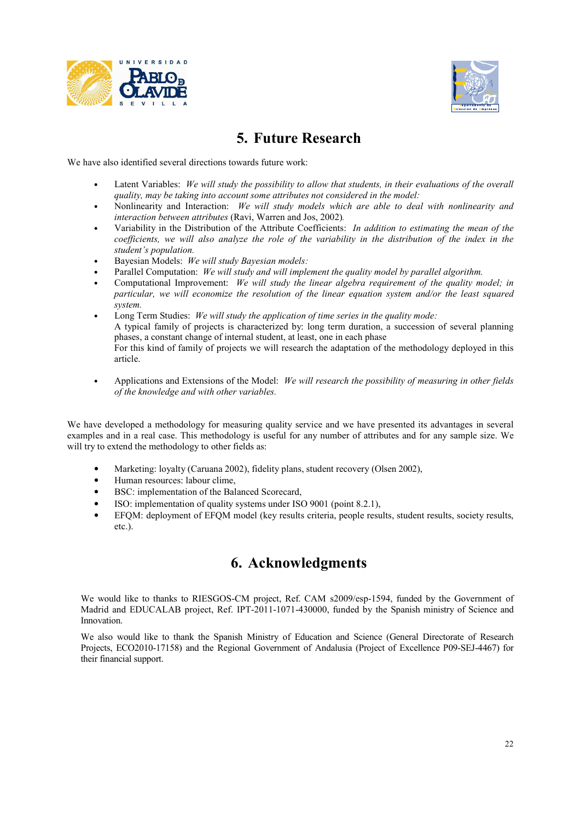



# **5. Future Research**

We have also identified several directions towards future work:

- Latent Variables: *We will study the possibility to allow that students, in their evaluations of the overall quality, may be taking into account some attributes not considered in the model:*
- Nonlinearity and Interaction: *We will study models which are able to deal with nonlinearity and interaction between attributes* (Ravi, Warren and Jos, 2002)*.*
- Variability in the Distribution of the Attribute Coefficients: *In addition to estimating the mean of the coefficients, we will also analyze the role of the variability in the distribution of the index in the student's population.*
- Bayesian Models: *We will study Bayesian models:*
- Parallel Computation: *We will study and will implement the quality model by parallel algorithm.*
- Computational Improvement: *We will study the linear algebra requirement of the quality model; in particular, we will economize the resolution of the linear equation system and/or the least squared system.*
- Long Term Studies: *We will study the application of time series in the quality mode:*  A typical family of projects is characterized by: long term duration, a succession of several planning phases, a constant change of internal student, at least, one in each phase For this kind of family of projects we will research the adaptation of the methodology deployed in this article.
- Applications and Extensions of the Model: *We will research the possibility of measuring in other fields of the knowledge and with other variables.*

We have developed a methodology for measuring quality service and we have presented its advantages in several examples and in a real case. This methodology is useful for any number of attributes and for any sample size. We will try to extend the methodology to other fields as:

- Marketing: loyalty (Caruana 2002), fidelity plans, student recovery (Olsen 2002),
- Human resources: labour clime,
- BSC: implementation of the Balanced Scorecard,
- ISO: implementation of quality systems under ISO 9001 (point 8.2.1),
- EFQM: deployment of EFQM model (key results criteria, people results, student results, society results, etc.).

## **6. Acknowledgments**

We would like to thanks to RIESGOS-CM project, Ref. CAM s2009/esp-1594, funded by the Government of Madrid and EDUCALAB project, Ref. IPT-2011-1071-430000, funded by the Spanish ministry of Science and Innovation.

We also would like to thank the Spanish Ministry of Education and Science (General Directorate of Research Projects, ECO2010-17158) and the Regional Government of Andalusia (Project of Excellence P09-SEJ-4467) for their financial support.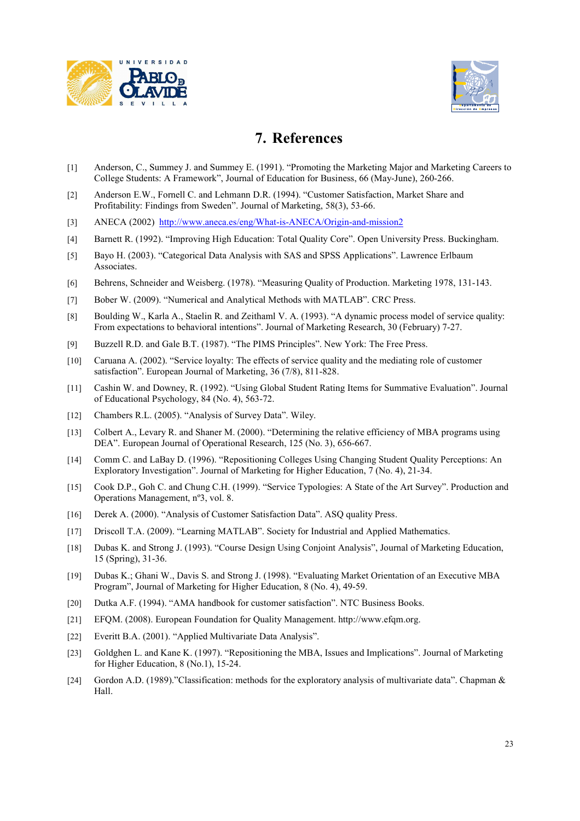



# **7. References**

- [1] Anderson, C., Summey J. and Summey E. (1991). "Promoting the Marketing Major and Marketing Careers to College Students: A Framework", Journal of Education for Business, 66 (May-June), 260-266.
- [2] Anderson E.W., Fornell C. and Lehmann D.R. (1994). "Customer Satisfaction, Market Share and Profitability: Findings from Sweden". Journal of Marketing, 58(3), 53-66.
- [3] ANECA (2002) http://www.aneca.es/eng/What-is-ANECA/Origin-and-mission2
- [4] Barnett R. (1992). "Improving High Education: Total Quality Core". Open University Press. Buckingham.
- [5] Bayo H. (2003). "Categorical Data Analysis with SAS and SPSS Applications". Lawrence Erlbaum Associates.
- [6] Behrens, Schneider and Weisberg. (1978). "Measuring Quality of Production. Marketing 1978, 131-143.
- [7] Bober W. (2009). "Numerical and Analytical Methods with MATLAB". CRC Press.
- [8] Boulding W., Karla A., Staelin R. and Zeithaml V. A. (1993). "A dynamic process model of service quality: From expectations to behavioral intentions". Journal of Marketing Research, 30 (February) 7-27.
- [9] Buzzell R.D. and Gale B.T. (1987). "The PIMS Principles". New York: The Free Press.
- [10] Caruana A. (2002). "Service loyalty: The effects of service quality and the mediating role of customer satisfaction". European Journal of Marketing, 36 (7/8), 811-828.
- [11] Cashin W. and Downey, R. (1992). "Using Global Student Rating Items for Summative Evaluation". Journal of Educational Psychology, 84 (No. 4), 563-72.
- [12] Chambers R.L. (2005). "Analysis of Survey Data". Wiley.
- [13] Colbert A., Levary R. and Shaner M. (2000). "Determining the relative efficiency of MBA programs using DEA". European Journal of Operational Research, 125 (No. 3), 656-667.
- [14] Comm C. and LaBay D. (1996). "Repositioning Colleges Using Changing Student Quality Perceptions: An Exploratory Investigation". Journal of Marketing for Higher Education, 7 (No. 4), 21-34.
- [15] Cook D.P., Goh C. and Chung C.H. (1999). "Service Typologies: A State of the Art Survey". Production and Operations Management, nº3, vol. 8.
- [16] Derek A. (2000). "Analysis of Customer Satisfaction Data". ASQ quality Press.
- [17] Driscoll T.A. (2009). "Learning MATLAB". Society for Industrial and Applied Mathematics.
- [18] Dubas K. and Strong J. (1993). "Course Design Using Conjoint Analysis", Journal of Marketing Education, 15 (Spring), 31-36.
- [19] Dubas K.; Ghani W., Davis S. and Strong J. (1998). "Evaluating Market Orientation of an Executive MBA Program", Journal of Marketing for Higher Education, 8 (No. 4), 49-59.
- [20] Dutka A.F. (1994). "AMA handbook for customer satisfaction". NTC Business Books.
- [21] EFQM. (2008). European Foundation for Quality Management. http://www.efqm.org.
- [22] Everitt B.A. (2001). "Applied Multivariate Data Analysis".
- [23] Goldghen L. and Kane K. (1997). "Repositioning the MBA, Issues and Implications". Journal of Marketing for Higher Education, 8 (No.1), 15-24.
- [24] Gordon A.D. (1989)."Classification: methods for the exploratory analysis of multivariate data". Chapman & Hall.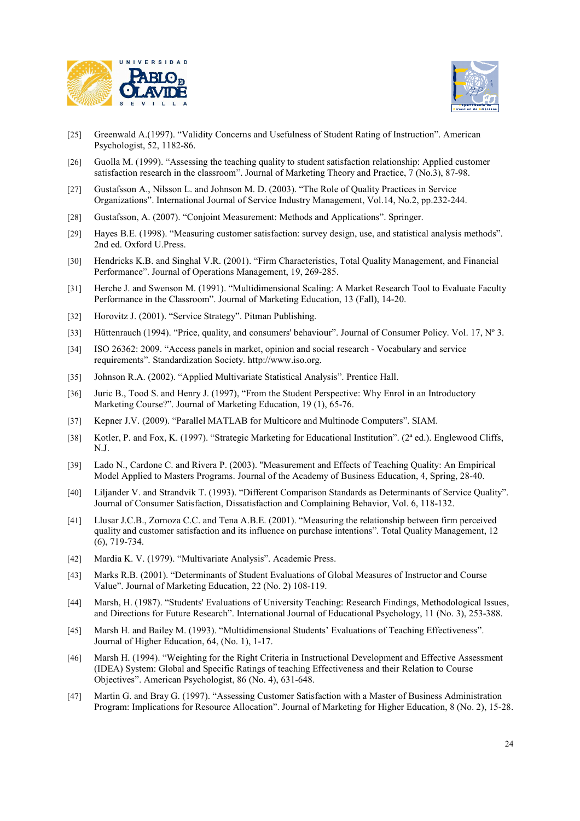



- [25] Greenwald A.(1997). "Validity Concerns and Usefulness of Student Rating of Instruction". American Psychologist, 52, 1182-86.
- [26] Guolla M. (1999). "Assessing the teaching quality to student satisfaction relationship: Applied customer satisfaction research in the classroom". Journal of Marketing Theory and Practice, 7 (No.3), 87-98.
- [27] Gustafsson A., Nilsson L. and Johnson M. D. (2003). "The Role of Quality Practices in Service Organizations". International Journal of Service Industry Management, Vol.14, No.2, pp.232-244.
- [28] Gustafsson, A. (2007). "Conjoint Measurement: Methods and Applications". Springer.
- [29] Hayes B.E. (1998). "Measuring customer satisfaction: survey design, use, and statistical analysis methods". 2nd ed. Oxford U.Press.
- [30] Hendricks K.B. and Singhal V.R. (2001). "Firm Characteristics, Total Quality Management, and Financial Performance". Journal of Operations Management, 19, 269-285.
- [31] Herche J. and Swenson M. (1991). "Multidimensional Scaling: A Market Research Tool to Evaluate Faculty Performance in the Classroom". Journal of Marketing Education, 13 (Fall), 14-20.
- [32] Horovitz J. (2001). "Service Strategy". Pitman Publishing.
- [33] Hüttenrauch (1994). "Price, quality, and consumers' behaviour". Journal of Consumer Policy. Vol. 17, Nº 3.
- [34] ISO 26362: 2009. "Access panels in market, opinion and social research Vocabulary and service requirements". Standardization Society. http://www.iso.org.
- [35] Johnson R.A. (2002). "Applied Multivariate Statistical Analysis". Prentice Hall.
- [36] Juric B., Tood S. and Henry J. (1997), "From the Student Perspective: Why Enrol in an Introductory Marketing Course?". Journal of Marketing Education, 19 (1), 65-76.
- [37] Kepner J.V. (2009). "Parallel MATLAB for Multicore and Multinode Computers". SIAM.
- [38] Kotler, P. and Fox, K. (1997). "Strategic Marketing for Educational Institution". (2ª ed.). Englewood Cliffs, N.J.
- [39] Lado N., Cardone C. and Rivera P. (2003). "Measurement and Effects of Teaching Quality: An Empirical Model Applied to Masters Programs. Journal of the Academy of Business Education, 4, Spring, 28-40.
- [40] Liljander V. and Strandvik T. (1993). "Different Comparison Standards as Determinants of Service Quality". Journal of Consumer Satisfaction, Dissatisfaction and Complaining Behavior, Vol. 6, 118-132.
- [41] Llusar J.C.B., Zornoza C.C. and Tena A.B.E. (2001). "Measuring the relationship between firm perceived quality and customer satisfaction and its influence on purchase intentions". Total Quality Management, 12 (6), 719-734.
- [42] Mardia K. V. (1979). "Multivariate Analysis". Academic Press.
- [43] Marks R.B. (2001). "Determinants of Student Evaluations of Global Measures of Instructor and Course Value". Journal of Marketing Education, 22 (No. 2) 108-119.
- [44] Marsh, H. (1987). "Students' Evaluations of University Teaching: Research Findings, Methodological Issues, and Directions for Future Research". International Journal of Educational Psychology, 11 (No. 3), 253-388.
- [45] Marsh H. and Bailey M. (1993). "Multidimensional Students' Evaluations of Teaching Effectiveness". Journal of Higher Education, 64, (No. 1), 1-17.
- [46] Marsh H. (1994). "Weighting for the Right Criteria in Instructional Development and Effective Assessment (IDEA) System: Global and Specific Ratings of teaching Effectiveness and their Relation to Course Objectives". American Psychologist, 86 (No. 4), 631-648.
- [47] Martin G. and Bray G. (1997). "Assessing Customer Satisfaction with a Master of Business Administration Program: Implications for Resource Allocation". Journal of Marketing for Higher Education, 8 (No. 2), 15-28.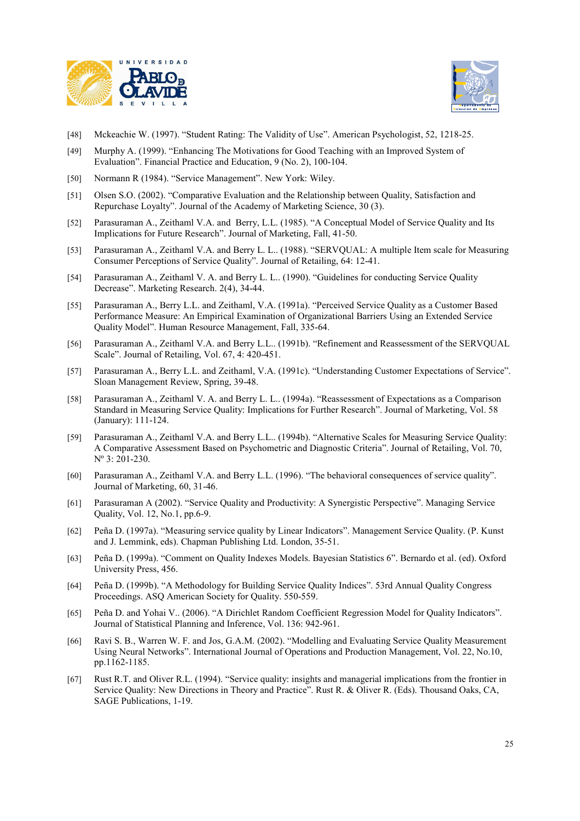



- [48] Mckeachie W. (1997). "Student Rating: The Validity of Use". American Psychologist, 52, 1218-25.
- [49] Murphy A. (1999). "Enhancing The Motivations for Good Teaching with an Improved System of Evaluation". Financial Practice and Education, 9 (No. 2), 100-104.
- [50] Normann R (1984). "Service Management". New York: Wiley.
- [51] Olsen S.O. (2002). "Comparative Evaluation and the Relationship between Quality, Satisfaction and Repurchase Loyalty". Journal of the Academy of Marketing Science, 30 (3).
- [52] Parasuraman A., Zeithaml V.A. and Berry, L.L. (1985). "A Conceptual Model of Service Quality and Its Implications for Future Research". Journal of Marketing, Fall, 41-50.
- [53] Parasuraman A., Zeithaml V.A. and Berry L. L.. (1988). "SERVQUAL: A multiple Item scale for Measuring Consumer Perceptions of Service Quality". Journal of Retailing, 64: 12-41.
- [54] Parasuraman A., Zeithaml V. A. and Berry L. L.. (1990). "Guidelines for conducting Service Quality Decrease". Marketing Research. 2(4), 34-44.
- [55] Parasuraman A., Berry L.L. and Zeithaml, V.A. (1991a). "Perceived Service Quality as a Customer Based Performance Measure: An Empirical Examination of Organizational Barriers Using an Extended Service Quality Model". Human Resource Management, Fall, 335-64.
- [56] Parasuraman A., Zeithaml V.A. and Berry L.L.. (1991b). "Refinement and Reassessment of the SERVQUAL Scale". Journal of Retailing, Vol. 67, 4: 420-451.
- [57] Parasuraman A., Berry L.L. and Zeithaml, V.A. (1991c). "Understanding Customer Expectations of Service". Sloan Management Review, Spring, 39-48.
- [58] Parasuraman A., Zeithaml V. A. and Berry L. L.. (1994a). "Reassessment of Expectations as a Comparison Standard in Measuring Service Quality: Implications for Further Research". Journal of Marketing, Vol. 58 (January): 111-124.
- [59] Parasuraman A., Zeithaml V.A. and Berry L.L.. (1994b). "Alternative Scales for Measuring Service Quality: A Comparative Assessment Based on Psychometric and Diagnostic Criteria". Journal of Retailing, Vol. 70, Nº 3: 201-230.
- [60] Parasuraman A., Zeithaml V.A. and Berry L.L. (1996). "The behavioral consequences of service quality". Journal of Marketing, 60, 31-46.
- [61] Parasuraman A (2002). "Service Quality and Productivity: A Synergistic Perspective". Managing Service Quality, Vol. 12, No.1, pp.6-9.
- [62] Peña D. (1997a). "Measuring service quality by Linear Indicators". Management Service Quality. (P. Kunst and J. Lemmink, eds). Chapman Publishing Ltd. London, 35-51.
- [63] Peña D. (1999a). "Comment on Quality Indexes Models. Bayesian Statistics 6". Bernardo et al. (ed). Oxford University Press, 456.
- [64] Peña D. (1999b). "A Methodology for Building Service Quality Indices". 53rd Annual Quality Congress Proceedings. ASQ American Society for Quality. 550-559.
- [65] Peña D. and Yohai V.. (2006). "A Dirichlet Random Coefficient Regression Model for Quality Indicators". Journal of Statistical Planning and Inference, Vol. 136: 942-961.
- [66] Ravi S. B., Warren W. F. and Jos, G.A.M. (2002). "Modelling and Evaluating Service Quality Measurement Using Neural Networks". International Journal of Operations and Production Management, Vol. 22, No.10, pp.1162-1185.
- [67] Rust R.T. and Oliver R.L. (1994). "Service quality: insights and managerial implications from the frontier in Service Quality: New Directions in Theory and Practice". Rust R. & Oliver R. (Eds). Thousand Oaks, CA, SAGE Publications, 1-19.